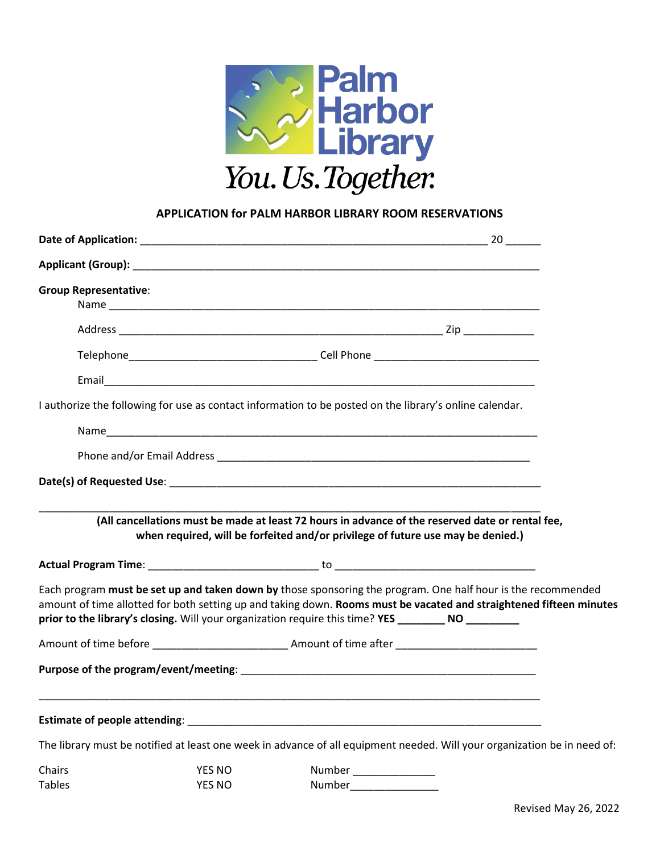

## **APPLICATION for PALM HARBOR LIBRARY ROOM RESERVATIONS**

| <b>Group Representative:</b> |               |                                                                                                                                                                                                                                                                                                                                             |  |
|------------------------------|---------------|---------------------------------------------------------------------------------------------------------------------------------------------------------------------------------------------------------------------------------------------------------------------------------------------------------------------------------------------|--|
|                              |               |                                                                                                                                                                                                                                                                                                                                             |  |
|                              |               |                                                                                                                                                                                                                                                                                                                                             |  |
|                              |               |                                                                                                                                                                                                                                                                                                                                             |  |
|                              |               | I authorize the following for use as contact information to be posted on the library's online calendar.                                                                                                                                                                                                                                     |  |
|                              |               |                                                                                                                                                                                                                                                                                                                                             |  |
|                              |               |                                                                                                                                                                                                                                                                                                                                             |  |
|                              |               |                                                                                                                                                                                                                                                                                                                                             |  |
|                              |               | (All cancellations must be made at least 72 hours in advance of the reserved date or rental fee,<br>when required, will be forfeited and/or privilege of future use may be denied.)                                                                                                                                                         |  |
|                              |               |                                                                                                                                                                                                                                                                                                                                             |  |
|                              |               | Each program must be set up and taken down by those sponsoring the program. One half hour is the recommended<br>amount of time allotted for both setting up and taking down. Rooms must be vacated and straightened fifteen minutes<br>prior to the library's closing. Will your organization require this time? YES ______________________ |  |
|                              |               |                                                                                                                                                                                                                                                                                                                                             |  |
|                              |               |                                                                                                                                                                                                                                                                                                                                             |  |
|                              |               |                                                                                                                                                                                                                                                                                                                                             |  |
|                              |               | The library must be notified at least one week in advance of all equipment needed. Will your organization be in need of:                                                                                                                                                                                                                    |  |
| Chairs                       | <b>YES NO</b> | Number _______________                                                                                                                                                                                                                                                                                                                      |  |
| <b>Tables</b>                | <b>YES NO</b> | Number                                                                                                                                                                                                                                                                                                                                      |  |